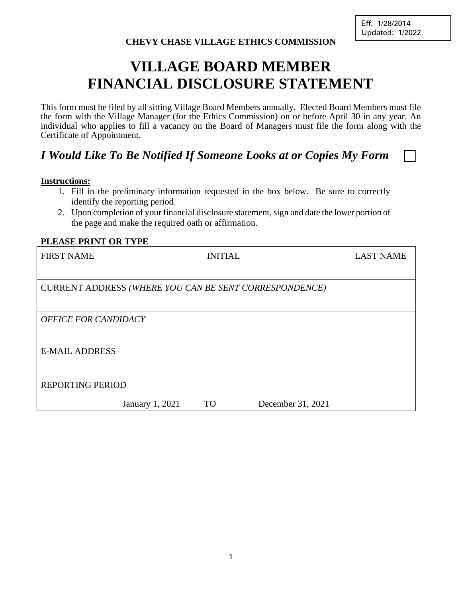# **VILLAGE BOARD MEMBER FINANCIAL DISCLOSURE STATEMENT**

This form must be filed by all sitting Village Board Members annually. Elected Board Members must file the form with the Village Manager (for the Ethics Commission) on or before April 30 in any year. An individual who applies to fill a vacancy on the Board of Managers must file the form along with the Certificate of Appointment.

# *I Would Like To Be Notified If Someone Looks at or Copies My Form*

#### **Instructions:**

- 1. Fill in the preliminary information requested in the box below. Be sure to correctly identify the reporting period.
- 2. Upon completion of your financial disclosure statement, sign and date the lower portion of the page and make the required oath or affirmation.

#### **PLEASE PRINT OR TYPE**

| <b>FIRST NAME</b>           |                 | <b>INITIAL</b> |                                                        | <b>LAST NAME</b> |  |  |
|-----------------------------|-----------------|----------------|--------------------------------------------------------|------------------|--|--|
|                             |                 |                |                                                        |                  |  |  |
|                             |                 |                | CURRENT ADDRESS (WHERE YOU CAN BE SENT CORRESPONDENCE) |                  |  |  |
|                             |                 |                |                                                        |                  |  |  |
| <b>OFFICE FOR CANDIDACY</b> |                 |                |                                                        |                  |  |  |
|                             |                 |                |                                                        |                  |  |  |
| <b>E-MAIL ADDRESS</b>       |                 |                |                                                        |                  |  |  |
|                             |                 |                |                                                        |                  |  |  |
| <b>REPORTING PERIOD</b>     |                 |                |                                                        |                  |  |  |
|                             | January 1, 2021 | <b>TO</b>      | December 31, 2021                                      |                  |  |  |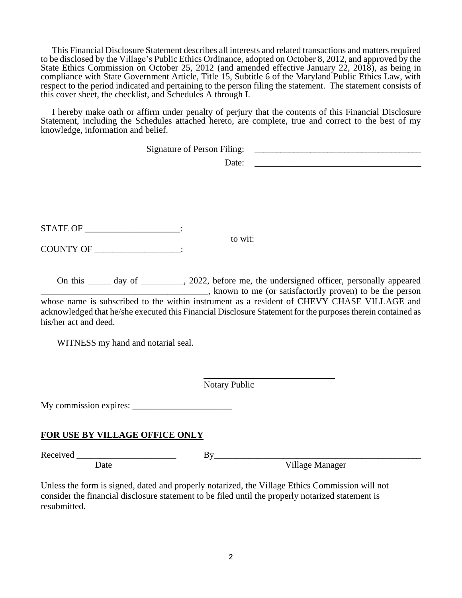This Financial Disclosure Statement describes all interests and related transactions and matters required to be disclosed by the Village's Public Ethics Ordinance, adopted on October 8, 2012, and approved by the State Ethics Commission on October 25, 2012 (and amended effective January 22, 2018), as being in compliance with State Government Article, Title 15, Subtitle 6 of the Maryland Public Ethics Law, with respect to the period indicated and pertaining to the person filing the statement. The statement consists of this cover sheet, the checklist, and Schedules A through I.

 I hereby make oath or affirm under penalty of perjury that the contents of this Financial Disclosure Statement, including the Schedules attached hereto, are complete, true and correct to the best of my knowledge, information and belief.

|                                   | <b>Signature of Person Filing:</b> |                                                        |
|-----------------------------------|------------------------------------|--------------------------------------------------------|
|                                   |                                    | Date:<br><u> 1989 - Andrea Andrew Maria (h. 1989).</u> |
|                                   |                                    |                                                        |
|                                   |                                    |                                                        |
| STATE OF _______________________: |                                    |                                                        |
| COUNTY OF                         | $\bullet$                          | to wit:                                                |

On this \_\_\_\_\_\_ day of \_\_\_\_\_\_\_\_\_, 2022, before me, the undersigned officer, personally appeared \_\_\_\_\_\_\_\_\_\_\_\_\_\_\_\_\_\_\_\_\_\_\_\_\_\_\_\_\_\_\_\_\_\_\_\_\_, known to me (or satisfactorily proven) to be the person whose name is subscribed to the within instrument as a resident of CHEVY CHASE VILLAGE and acknowledged that he/she executed this Financial Disclosure Statement for the purposes therein contained as his/her act and deed.

WITNESS my hand and notarial seal.

Notary Public

l

My commission expires: \_\_\_\_\_\_\_\_\_\_\_\_\_\_\_\_\_\_\_\_\_\_

# **FOR USE BY VILLAGE OFFICE ONLY**

Received \_\_\_\_\_\_\_\_\_\_\_\_\_\_\_\_\_\_\_\_\_\_ By\_\_\_\_\_\_\_\_\_\_\_\_\_\_\_\_\_\_\_\_\_\_\_\_\_\_\_\_\_\_\_\_\_\_\_\_\_\_\_\_\_\_\_\_\_\_\_\_

Date Village Manager

Unless the form is signed, dated and properly notarized, the Village Ethics Commission will not consider the financial disclosure statement to be filed until the properly notarized statement is resubmitted.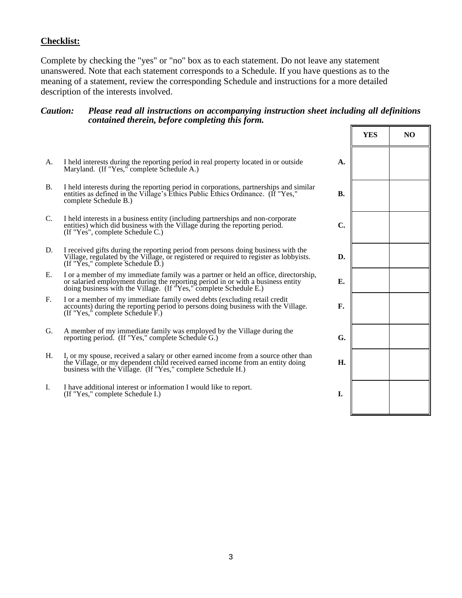# **Checklist:**

Complete by checking the "yes" or "no" box as to each statement. Do not leave any statement unanswered. Note that each statement corresponds to a Schedule. If you have questions as to the meaning of a statement, review the corresponding Schedule and instructions for a more detailed description of the interests involved.

#### *Caution: Please read all instructions on accompanying instruction sheet including all definitions contained therein, before completing this form.*

|                 |                                                                                                                                                                                                                                          |                | <b>YES</b> | N <sub>O</sub> |
|-----------------|------------------------------------------------------------------------------------------------------------------------------------------------------------------------------------------------------------------------------------------|----------------|------------|----------------|
| А.              | I held interests during the reporting period in real property located in or outside<br>Maryland. (If "Yes," complete Schedule A.)                                                                                                        | A.             |            |                |
| <b>B.</b>       | I held interests during the reporting period in corporations, partnerships and similar entities as defined in the Village's Ethics Public Ethics Ordinance. (If "Yes,"<br>complete Schedule B.)                                          | <b>B.</b>      |            |                |
| $\mathcal{C}$ . | I held interests in a business entity (including partnerships and non-corporate<br>entities) which did business with the Village during the reporting period.<br>(If "Yes", complete Schedule C.)                                        | $\mathbf{C}$ . |            |                |
| D.              | I received gifts during the reporting period from persons doing business with the<br>Village, regulated by the Village, or registered or required to register as lobbyists.<br>(If "Yes," complete Schedule $\overline{D}$ .)            | D.             |            |                |
| Е.              | I or a member of my immediate family was a partner or held an office, directorship,<br>or salaried employment during the reporting period in or with a business entity doing business with the Village. (If "Yes," complete Schedule E.) | Е.             |            |                |
| $F_{\rm c}$     | I or a member of my immediate family owed debts (excluding retail credit<br>accounts) during the reporting period to persons doing business with the Village.<br>(If "Yes," complete Schedule F.)                                        | F.             |            |                |
| G.              | A member of my immediate family was employed by the Village during the<br>reporting period. (If "Yes," complete Schedule G.)                                                                                                             | G.             |            |                |
| H.              | I, or my spouse, received a salary or other earned income from a source other than<br>the Village, or my dependent child received earned income from an entity doing<br>business with the Village. (If "Yes," complete Schedule H.)      | H.             |            |                |
| I.              | I have additional interest or information I would like to report.<br>(If "Yes," complete Schedule I.)                                                                                                                                    | I.             |            |                |
|                 |                                                                                                                                                                                                                                          |                |            |                |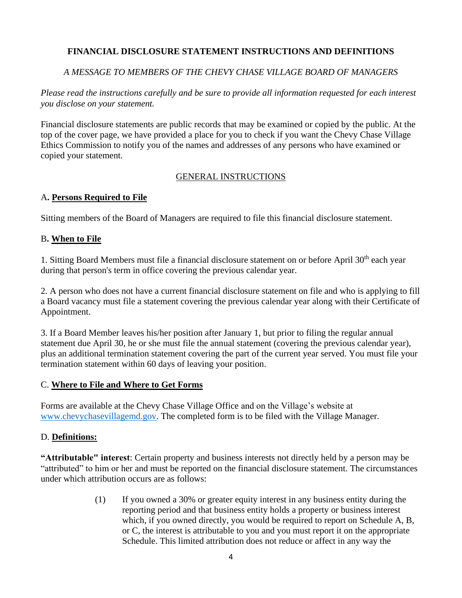# **FINANCIAL DISCLOSURE STATEMENT INSTRUCTIONS AND DEFINITIONS**

# *A MESSAGE TO MEMBERS OF THE CHEVY CHASE VILLAGE BOARD OF MANAGERS*

*Please read the instructions carefully and be sure to provide all information requested for each interest you disclose on your statement.* 

Financial disclosure statements are public records that may be examined or copied by the public. At the top of the cover page, we have provided a place for you to check if you want the Chevy Chase Village Ethics Commission to notify you of the names and addresses of any persons who have examined or copied your statement.

# GENERAL INSTRUCTIONS

#### A**. Persons Required to File**

Sitting members of the Board of Managers are required to file this financial disclosure statement.

# B**. When to File**

1. Sitting Board Members must file a financial disclosure statement on or before April 30<sup>th</sup> each year during that person's term in office covering the previous calendar year.

2. A person who does not have a current financial disclosure statement on file and who is applying to fill a Board vacancy must file a statement covering the previous calendar year along with their Certificate of Appointment.

3. If a Board Member leaves his/her position after January 1, but prior to filing the regular annual statement due April 30, he or she must file the annual statement (covering the previous calendar year), plus an additional termination statement covering the part of the current year served. You must file your termination statement within 60 days of leaving your position.

#### C. **Where to File and Where to Get Forms**

Forms are available at the Chevy Chase Village Office and on the Village's website at [www.chevychasevillagemd.gov.](http://www.chevychasevillagemd.gov/) The completed form is to be filed with the Village Manager.

# D. **Definitions:**

**"Attributable" interest**: Certain property and business interests not directly held by a person may be "attributed" to him or her and must be reported on the financial disclosure statement. The circumstances under which attribution occurs are as follows:

> (1) If you owned a 30% or greater equity interest in any business entity during the reporting period and that business entity holds a property or business interest which, if you owned directly, you would be required to report on Schedule A, B, or C, the interest is attributable to you and you must report it on the appropriate Schedule. This limited attribution does not reduce or affect in any way the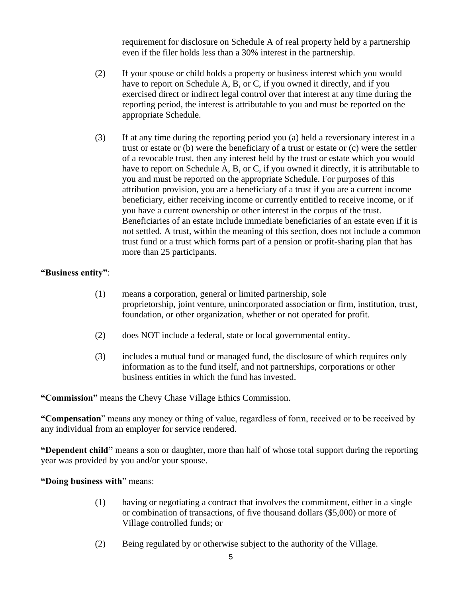requirement for disclosure on Schedule A of real property held by a partnership even if the filer holds less than a 30% interest in the partnership.

- (2) If your spouse or child holds a property or business interest which you would have to report on Schedule A, B, or C, if you owned it directly, and if you exercised direct or indirect legal control over that interest at any time during the reporting period, the interest is attributable to you and must be reported on the appropriate Schedule.
- (3) If at any time during the reporting period you (a) held a reversionary interest in a trust or estate or (b) were the beneficiary of a trust or estate or (c) were the settler of a revocable trust, then any interest held by the trust or estate which you would have to report on Schedule A, B, or C, if you owned it directly, it is attributable to you and must be reported on the appropriate Schedule. For purposes of this attribution provision, you are a beneficiary of a trust if you are a current income beneficiary, either receiving income or currently entitled to receive income, or if you have a current ownership or other interest in the corpus of the trust. Beneficiaries of an estate include immediate beneficiaries of an estate even if it is not settled. A trust, within the meaning of this section, does not include a common trust fund or a trust which forms part of a pension or profit-sharing plan that has more than 25 participants.

#### **"Business entity"**:

- (1) means a corporation, general or limited partnership, sole proprietorship, joint venture, unincorporated association or firm, institution, trust, foundation, or other organization, whether or not operated for profit.
- (2) does NOT include a federal, state or local governmental entity.
- (3) includes a mutual fund or managed fund, the disclosure of which requires only information as to the fund itself, and not partnerships, corporations or other business entities in which the fund has invested.

**"Commission"** means the Chevy Chase Village Ethics Commission.

**"Compensation**" means any money or thing of value, regardless of form, received or to be received by any individual from an employer for service rendered.

**"Dependent child"** means a son or daughter, more than half of whose total support during the reporting year was provided by you and/or your spouse.

**"Doing business with**" means:

- (1) having or negotiating a contract that involves the commitment, either in a single or combination of transactions, of five thousand dollars (\$5,000) or more of Village controlled funds; or
- (2) Being regulated by or otherwise subject to the authority of the Village.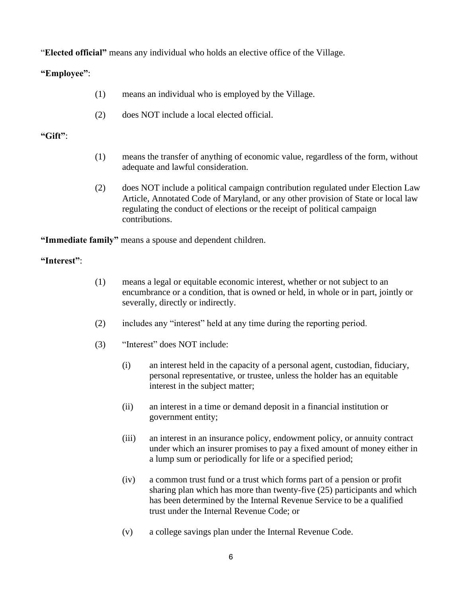"**Elected official"** means any individual who holds an elective office of the Village.

# **"Employee"**:

- (1) means an individual who is employed by the Village.
- (2) does NOT include a local elected official.

# **"Gift"**:

- (1) means the transfer of anything of economic value, regardless of the form, without adequate and lawful consideration.
- (2) does NOT include a political campaign contribution regulated under Election Law Article, Annotated Code of Maryland, or any other provision of State or local law regulating the conduct of elections or the receipt of political campaign contributions.

**"Immediate family"** means a spouse and dependent children.

# **"Interest"**:

- (1) means a legal or equitable economic interest, whether or not subject to an encumbrance or a condition, that is owned or held, in whole or in part, jointly or severally, directly or indirectly.
- (2) includes any "interest" held at any time during the reporting period.
- (3) "Interest" does NOT include:
	- (i) an interest held in the capacity of a personal agent, custodian, fiduciary, personal representative, or trustee, unless the holder has an equitable interest in the subject matter;
	- (ii) an interest in a time or demand deposit in a financial institution or government entity;
	- (iii) an interest in an insurance policy, endowment policy, or annuity contract under which an insurer promises to pay a fixed amount of money either in a lump sum or periodically for life or a specified period;
	- (iv) a common trust fund or a trust which forms part of a pension or profit sharing plan which has more than twenty-five (25) participants and which has been determined by the Internal Revenue Service to be a qualified trust under the Internal Revenue Code; or
	- (v) a college savings plan under the Internal Revenue Code.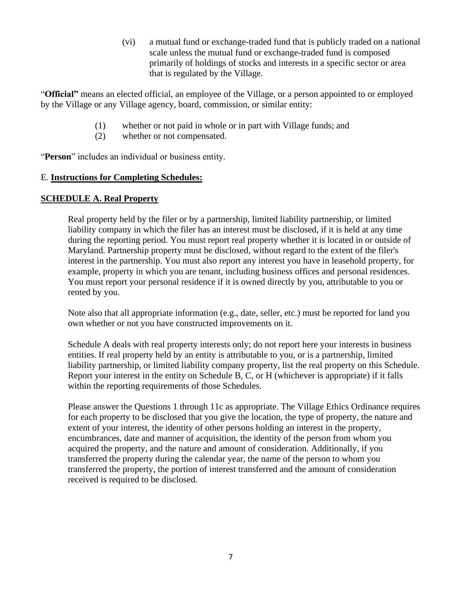(vi) a mutual fund or exchange-traded fund that is publicly traded on a national scale unless the mutual fund or exchange-traded fund is composed primarily of holdings of stocks and interests in a specific sector or area that is regulated by the Village.

"**Official"** means an elected official, an employee of the Village, or a person appointed to or employed by the Village or any Village agency, board, commission, or similar entity:

- (1) whether or not paid in whole or in part with Village funds; and
- (2) whether or not compensated.

"**Person**" includes an individual or business entity.

#### E. **Instructions for Completing Schedules:**

#### **SCHEDULE A. Real Property**

Real property held by the filer or by a partnership, limited liability partnership, or limited liability company in which the filer has an interest must be disclosed, if it is held at any time during the reporting period. You must report real property whether it is located in or outside of Maryland. Partnership property must be disclosed, without regard to the extent of the filer's interest in the partnership. You must also report any interest you have in leasehold property, for example, property in which you are tenant, including business offices and personal residences. You must report your personal residence if it is owned directly by you, attributable to you or rented by you.

Note also that all appropriate information (e.g., date, seller, etc.) must be reported for land you own whether or not you have constructed improvements on it.

Schedule A deals with real property interests only; do not report here your interests in business entities. If real property held by an entity is attributable to you, or is a partnership, limited liability partnership, or limited liability company property, list the real property on this Schedule. Report your interest in the entity on Schedule B, C, or H (whichever is appropriate) if it falls within the reporting requirements of those Schedules.

Please answer the Questions 1 through 11c as appropriate. The Village Ethics Ordinance requires for each property to be disclosed that you give the location, the type of property, the nature and extent of your interest, the identity of other persons holding an interest in the property, encumbrances, date and manner of acquisition, the identity of the person from whom you acquired the property, and the nature and amount of consideration. Additionally, if you transferred the property during the calendar year, the name of the person to whom you transferred the property, the portion of interest transferred and the amount of consideration received is required to be disclosed.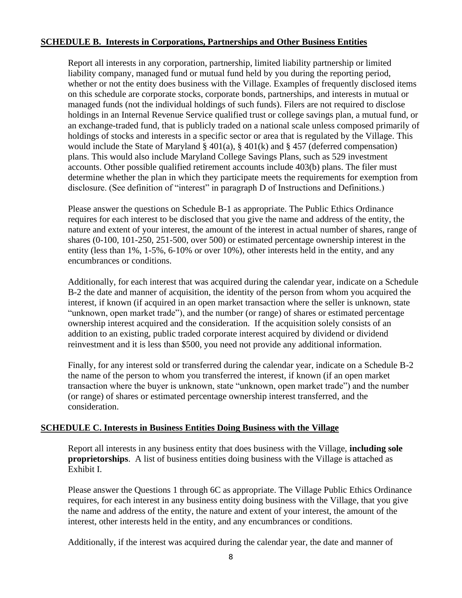#### **SCHEDULE B. Interests in Corporations, Partnerships and Other Business Entities**

Report all interests in any corporation, partnership, limited liability partnership or limited liability company, managed fund or mutual fund held by you during the reporting period, whether or not the entity does business with the Village. Examples of frequently disclosed items on this schedule are corporate stocks, corporate bonds, partnerships, and interests in mutual or managed funds (not the individual holdings of such funds). Filers are not required to disclose holdings in an Internal Revenue Service qualified trust or college savings plan, a mutual fund, or an exchange-traded fund, that is publicly traded on a national scale unless composed primarily of holdings of stocks and interests in a specific sector or area that is regulated by the Village. This would include the State of Maryland § 401(a), § 401(k) and § 457 (deferred compensation) plans. This would also include Maryland College Savings Plans, such as 529 investment accounts. Other possible qualified retirement accounts include 403(b) plans. The filer must determine whether the plan in which they participate meets the requirements for exemption from disclosure. (See definition of "interest" in paragraph D of Instructions and Definitions.)

Please answer the questions on Schedule B-1 as appropriate. The Public Ethics Ordinance requires for each interest to be disclosed that you give the name and address of the entity, the nature and extent of your interest, the amount of the interest in actual number of shares, range of shares (0-100, 101-250, 251-500, over 500) or estimated percentage ownership interest in the entity (less than 1%, 1-5%, 6-10% or over 10%), other interests held in the entity, and any encumbrances or conditions.

Additionally, for each interest that was acquired during the calendar year, indicate on a Schedule B-2 the date and manner of acquisition, the identity of the person from whom you acquired the interest, if known (if acquired in an open market transaction where the seller is unknown, state "unknown, open market trade"), and the number (or range) of shares or estimated percentage ownership interest acquired and the consideration. If the acquisition solely consists of an addition to an existing, public traded corporate interest acquired by dividend or dividend reinvestment and it is less than \$500, you need not provide any additional information.

Finally, for any interest sold or transferred during the calendar year, indicate on a Schedule B-2 the name of the person to whom you transferred the interest, if known (if an open market transaction where the buyer is unknown, state "unknown, open market trade") and the number (or range) of shares or estimated percentage ownership interest transferred, and the consideration.

#### **SCHEDULE C. Interests in Business Entities Doing Business with the Village**

Report all interests in any business entity that does business with the Village, **including sole proprietorships**. A list of business entities doing business with the Village is attached as Exhibit I.

Please answer the Questions 1 through 6C as appropriate. The Village Public Ethics Ordinance requires, for each interest in any business entity doing business with the Village, that you give the name and address of the entity, the nature and extent of your interest, the amount of the interest, other interests held in the entity, and any encumbrances or conditions.

Additionally, if the interest was acquired during the calendar year, the date and manner of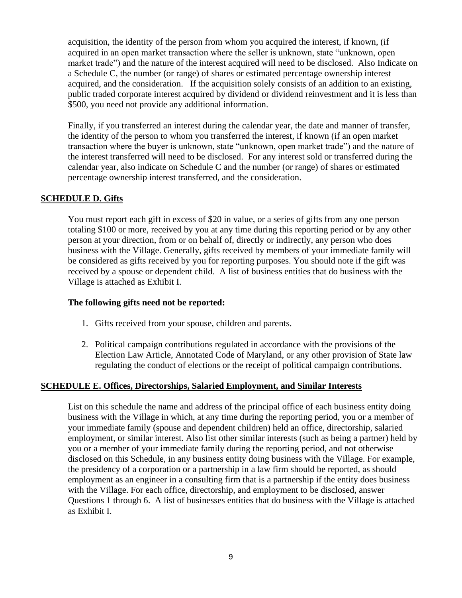acquisition, the identity of the person from whom you acquired the interest, if known, (if acquired in an open market transaction where the seller is unknown, state "unknown, open market trade") and the nature of the interest acquired will need to be disclosed. Also Indicate on a Schedule C, the number (or range) of shares or estimated percentage ownership interest acquired, and the consideration. If the acquisition solely consists of an addition to an existing, public traded corporate interest acquired by dividend or dividend reinvestment and it is less than \$500, you need not provide any additional information.

Finally, if you transferred an interest during the calendar year, the date and manner of transfer, the identity of the person to whom you transferred the interest, if known (if an open market transaction where the buyer is unknown, state "unknown, open market trade") and the nature of the interest transferred will need to be disclosed. For any interest sold or transferred during the calendar year, also indicate on Schedule C and the number (or range) of shares or estimated percentage ownership interest transferred, and the consideration.

#### **SCHEDULE D. Gifts**

You must report each gift in excess of \$20 in value, or a series of gifts from any one person totaling \$100 or more, received by you at any time during this reporting period or by any other person at your direction, from or on behalf of, directly or indirectly, any person who does business with the Village. Generally, gifts received by members of your immediate family will be considered as gifts received by you for reporting purposes. You should note if the gift was received by a spouse or dependent child. A list of business entities that do business with the Village is attached as Exhibit I.

#### **The following gifts need not be reported:**

- 1. Gifts received from your spouse, children and parents.
- 2. Political campaign contributions regulated in accordance with the provisions of the Election Law Article, Annotated Code of Maryland, or any other provision of State law regulating the conduct of elections or the receipt of political campaign contributions.

#### **SCHEDULE E. Offices, Directorships, Salaried Employment, and Similar Interests**

List on this schedule the name and address of the principal office of each business entity doing business with the Village in which, at any time during the reporting period, you or a member of your immediate family (spouse and dependent children) held an office, directorship, salaried employment, or similar interest. Also list other similar interests (such as being a partner) held by you or a member of your immediate family during the reporting period, and not otherwise disclosed on this Schedule, in any business entity doing business with the Village. For example, the presidency of a corporation or a partnership in a law firm should be reported, as should employment as an engineer in a consulting firm that is a partnership if the entity does business with the Village. For each office, directorship, and employment to be disclosed, answer Questions 1 through 6. A list of businesses entities that do business with the Village is attached as Exhibit I.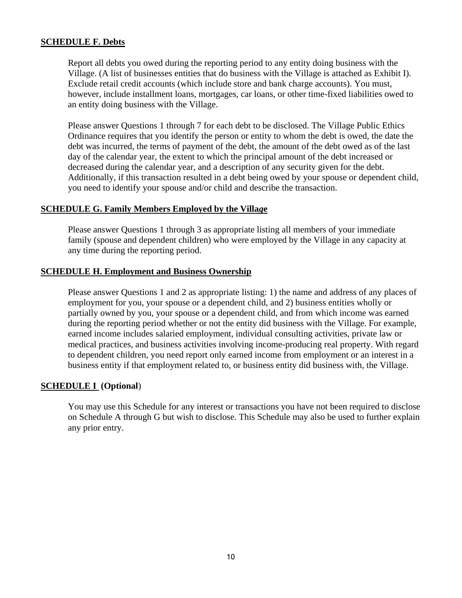#### **SCHEDULE F. Debts**

Report all debts you owed during the reporting period to any entity doing business with the Village. (A list of businesses entities that do business with the Village is attached as Exhibit I). Exclude retail credit accounts (which include store and bank charge accounts). You must, however, include installment loans, mortgages, car loans, or other time-fixed liabilities owed to an entity doing business with the Village.

Please answer Questions 1 through 7 for each debt to be disclosed. The Village Public Ethics Ordinance requires that you identify the person or entity to whom the debt is owed, the date the debt was incurred, the terms of payment of the debt, the amount of the debt owed as of the last day of the calendar year, the extent to which the principal amount of the debt increased or decreased during the calendar year, and a description of any security given for the debt. Additionally, if this transaction resulted in a debt being owed by your spouse or dependent child, you need to identify your spouse and/or child and describe the transaction.

#### **SCHEDULE G. Family Members Employed by the Villa***g***e**

Please answer Questions 1 through 3 as appropriate listing all members of your immediate family (spouse and dependent children) who were employed by the Village in any capacity at any time during the reporting period.

#### **SCHEDULE H. Employment and Business Ownership**

Please answer Questions 1 and 2 as appropriate listing: 1) the name and address of any places of employment for you, your spouse or a dependent child, and 2) business entities wholly or partially owned by you, your spouse or a dependent child, and from which income was earned during the reporting period whether or not the entity did business with the Village. For example, earned income includes salaried employment, individual consulting activities, private law or medical practices, and business activities involving income-producing real property. With regard to dependent children, you need report only earned income from employment or an interest in a business entity if that employment related to, or business entity did business with, the Village.

#### **SCHEDULE I (Optional**)

You may use this Schedule for any interest or transactions you have not been required to disclose on Schedule A through G but wish to disclose. This Schedule may also be used to further explain any prior entry.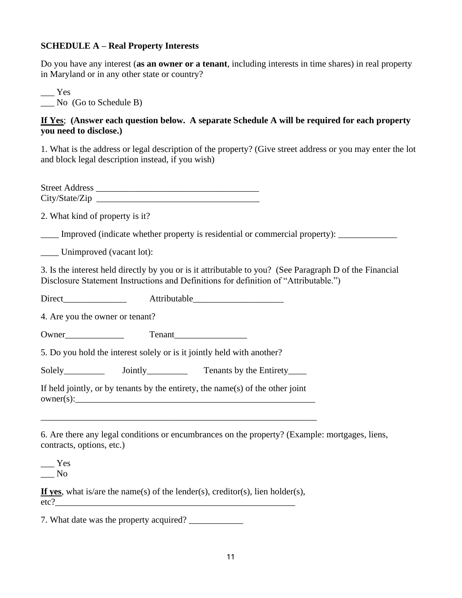# **SCHEDULE A – Real Property Interests**

Do you have any interest (**as an owner or a tenant**, including interests in time shares) in real property in Maryland or in any other state or country?

 $Yes$ \_\_\_ No (Go to Schedule B)

# **If Yes**; **(Answer each question below. A separate Schedule A will be required for each property you need to disclose.)**

1. What is the address or legal description of the property? (Give street address or you may enter the lot and block legal description instead, if you wish)

Street Address \_\_\_\_\_\_\_\_\_\_\_\_\_\_\_\_\_\_\_\_\_\_\_\_\_\_\_\_\_\_\_\_\_\_\_\_ City/State/Zip \_\_\_\_\_\_\_\_\_\_\_\_\_\_\_\_\_\_\_\_\_\_\_\_\_\_\_\_\_\_\_\_\_\_\_\_

2. What kind of property is it?

\_\_\_\_ Improved (indicate whether property is residential or commercial property): \_\_\_\_\_\_\_\_\_\_\_\_\_

\_\_\_\_ Unimproved (vacant lot):

3. Is the interest held directly by you or is it attributable to you? (See Paragraph D of the Financial Disclosure Statement Instructions and Definitions for definition of "Attributable.")

Direct Attributable

4. Are you the owner or tenant?

Owner\_\_\_\_\_\_\_\_\_\_\_\_\_ Tenant\_\_\_\_\_\_\_\_\_\_\_\_\_\_\_\_

5. Do you hold the interest solely or is it jointly held with another?

Solely Jointly Tenants by the Entirety

If held jointly, or by tenants by the entirety, the name(s) of the other joint  $\text{owner}(s):$ 

\_\_\_\_\_\_\_\_\_\_\_\_\_\_\_\_\_\_\_\_\_\_\_\_\_\_\_\_\_\_\_\_\_\_\_\_\_\_\_\_\_\_\_\_\_\_\_\_\_\_\_\_\_\_\_\_\_\_\_\_\_

6. Are there any legal conditions or encumbrances on the property? (Example: mortgages, liens, contracts, options, etc.)

\_\_\_ Yes \_\_\_ No

**If yes**, what is/are the name(s) of the lender(s), creditor(s), lien holder(s), etc?\_\_\_\_\_\_\_\_\_\_\_\_\_\_\_\_\_\_\_\_\_\_\_\_\_\_\_\_\_\_\_\_\_\_\_\_\_\_\_\_\_\_\_\_\_\_\_\_\_\_\_\_\_

7. What date was the property acquired?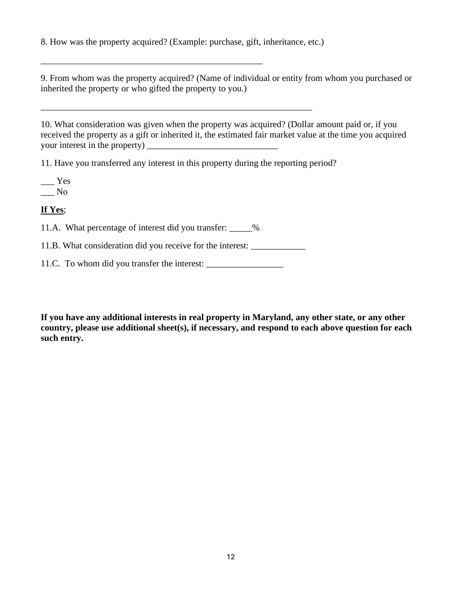8. How was the property acquired? (Example: purchase, gift, inheritance, etc.)

\_\_\_\_\_\_\_\_\_\_\_\_\_\_\_\_\_\_\_\_\_\_\_\_\_\_\_\_\_\_\_\_\_\_\_\_\_\_\_\_\_\_\_\_\_\_\_\_\_\_\_\_\_\_\_\_\_\_\_\_

9. From whom was the property acquired? (Name of individual or entity from whom you purchased or inherited the property or who gifted the property to you.)

10. What consideration was given when the property was acquired? (Dollar amount paid or, if you received the property as a gift or inherited it, the estimated fair market value at the time you acquired your interest in the property) \_\_\_\_\_\_\_\_\_\_\_\_\_\_\_\_\_\_\_\_\_\_\_\_\_\_\_\_\_

11. Have you transferred any interest in this property during the reporting period?

 $\rule{1em}{0.15mm}$  Yes  $\_\_$  No

**If Yes**;

11.A. What percentage of interest did you transfer: \_\_\_\_\_%

\_\_\_\_\_\_\_\_\_\_\_\_\_\_\_\_\_\_\_\_\_\_\_\_\_\_\_\_\_\_\_\_\_\_\_\_\_\_\_\_\_\_\_\_\_\_\_\_\_

11.B. What consideration did you receive for the interest:

11.C. To whom did you transfer the interest: \_\_\_\_\_\_\_\_\_\_\_\_\_\_\_\_\_

**If you have any additional interests in real property in Maryland, any other state, or any other country, please use additional sheet(s), if necessary, and respond to each above question for each such entry.**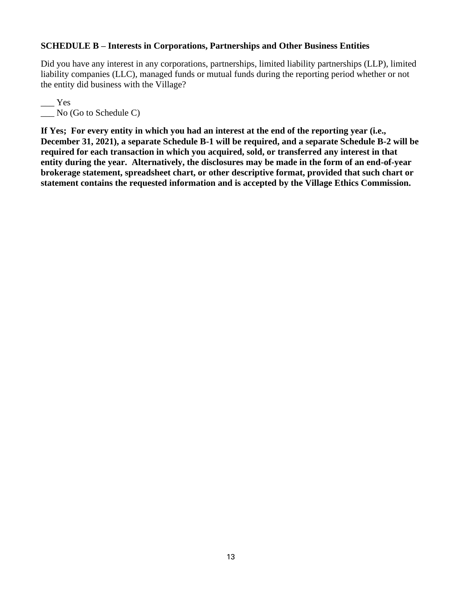#### **SCHEDULE B – Interests in Corporations, Partnerships and Other Business Entities**

Did you have any interest in any corporations, partnerships, limited liability partnerships (LLP), limited liability companies (LLC), managed funds or mutual funds during the reporting period whether or not the entity did business with the Village?

 $\overline{\phantom{a}}$  Yes \_\_\_ No (Go to Schedule C)

**If Yes; For every entity in which you had an interest at the end of the reporting year (i.e., December 31, 2021), a separate Schedule B-1 will be required, and a separate Schedule B-2 will be required for each transaction in which you acquired, sold, or transferred any interest in that entity during the year. Alternatively, the disclosures may be made in the form of an end-of-year brokerage statement, spreadsheet chart, or other descriptive format, provided that such chart or statement contains the requested information and is accepted by the Village Ethics Commission.**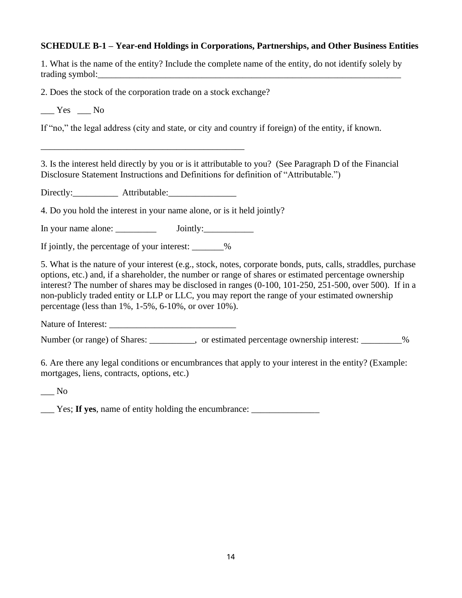#### **SCHEDULE B-1 – Year-end Holdings in Corporations, Partnerships, and Other Business Entities**

| 1. What is the name of the entity? Include the complete name of the entity, do not identify solely by |  |  |  |  |
|-------------------------------------------------------------------------------------------------------|--|--|--|--|
| trading symbol:                                                                                       |  |  |  |  |

2. Does the stock of the corporation trade on a stock exchange?

 $Yes$   $\_\_$  No

If "no," the legal address (city and state, or city and country if foreign) of the entity, if known.

3. Is the interest held directly by you or is it attributable to you? (See Paragraph D of the Financial Disclosure Statement Instructions and Definitions for definition of "Attributable.")

Directly:\_\_\_\_\_\_\_\_\_\_ Attributable:\_\_\_\_\_\_\_\_\_\_\_\_\_\_\_

\_\_\_\_\_\_\_\_\_\_\_\_\_\_\_\_\_\_\_\_\_\_\_\_\_\_\_\_\_\_\_\_\_\_\_\_\_\_\_\_\_\_\_\_\_

4. Do you hold the interest in your name alone, or is it held jointly?

In your name alone: Jointly:

If jointly, the percentage of your interest:  $\frac{1}{2}$ 

5. What is the nature of your interest (e.g., stock, notes, corporate bonds, puts, calls, straddles, purchase options, etc.) and, if a shareholder, the number or range of shares or estimated percentage ownership interest? The number of shares may be disclosed in ranges (0-100, 101-250, 251-500, over 500). If in a non-publicly traded entity or LLP or LLC, you may report the range of your estimated ownership percentage (less than 1%, 1-5%, 6-10%, or over 10%).

Nature of Interest:

Number (or range) of Shares: \_\_\_\_\_\_\_\_, or estimated percentage ownership interest: \_\_\_\_\_\_\_\_%

6. Are there any legal conditions or encumbrances that apply to your interest in the entity? (Example: mortgages, liens, contracts, options, etc.)

\_\_\_ No

\_\_\_ Yes; **If yes**, name of entity holding the encumbrance: \_\_\_\_\_\_\_\_\_\_\_\_\_\_\_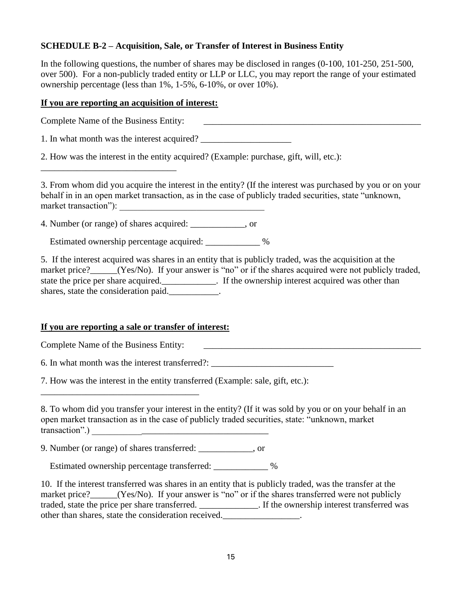# **SCHEDULE B-2 – Acquisition, Sale, or Transfer of Interest in Business Entity**

In the following questions, the number of shares may be disclosed in ranges (0-100, 101-250, 251-500, over 500). For a non-publicly traded entity or LLP or LLC, you may report the range of your estimated ownership percentage (less than 1%, 1-5%, 6-10%, or over 10%).

#### **If you are reporting an acquisition of interest:**

Complete Name of the Business Entity:

\_\_\_\_\_\_\_\_\_\_\_\_\_\_\_\_\_\_\_\_\_\_\_\_\_\_\_\_\_\_

1. In what month was the interest acquired?

2. How was the interest in the entity acquired? (Example: purchase, gift, will, etc.):

3. From whom did you acquire the interest in the entity? (If the interest was purchased by you or on your behalf in in an open market transaction, as in the case of publicly traded securities, state "unknown, market transaction"):

4. Number (or range) of shares acquired: \_\_\_\_\_\_\_\_\_\_\_\_, or

Estimated ownership percentage acquired:  $\%$ 

5. If the interest acquired was shares in an entity that is publicly traded, was the acquisition at the market price? (Yes/No). If your answer is "no" or if the shares acquired were not publicly traded, state the price per share acquired.\_\_\_\_\_\_\_\_\_\_\_\_. If the ownership interest acquired was other than shares, state the consideration paid.\_\_\_\_\_\_\_\_\_\_\_\_.

#### **If you are reporting a sale or transfer of interest:**

Complete Name of the Business Entity:

\_\_\_\_\_\_\_\_\_\_\_\_\_\_\_\_\_\_\_\_\_\_\_\_\_\_\_\_\_\_\_\_\_\_\_

6. In what month was the interest transferred?:

7. How was the interest in the entity transferred (Example: sale, gift, etc.):

8. To whom did you transfer your interest in the entity? (If it was sold by you or on your behalf in an open market transaction as in the case of publicly traded securities, state: "unknown, market transaction".) \_\_\_\_\_\_\_\_\_\_\_\_\_\_\_\_\_\_\_\_\_\_\_\_\_\_\_\_\_\_\_\_\_\_\_\_\_\_\_

9. Number (or range) of shares transferred: \_\_\_\_\_\_\_\_\_\_\_\_, or

Estimated ownership percentage transferred: \_\_\_\_\_\_\_\_\_\_\_ %

10. If the interest transferred was shares in an entity that is publicly traded, was the transfer at the market price?\_\_\_\_\_(Yes/No). If your answer is "no" or if the shares transferred were not publicly traded, state the price per share transferred. \_\_\_\_\_\_\_\_\_\_\_\_\_. If the ownership interest transferred was other than shares, state the consideration received.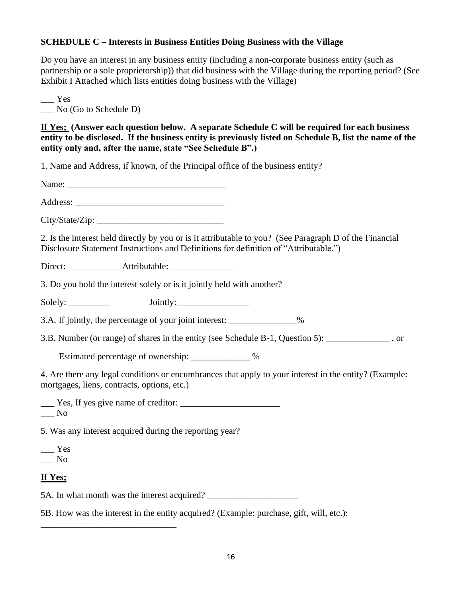# **SCHEDULE C – Interests in Business Entities Doing Business with the Village**

Do you have an interest in any business entity (including a non-corporate business entity (such as partnership or a sole proprietorship)) that did business with the Village during the reporting period? (See Exhibit I Attached which lists entities doing business with the Village)

\_\_\_ Yes No (Go to Schedule D)

**If Yes; (Answer each question below. A separate Schedule C will be required for each business entity to be disclosed. If the business entity is previously listed on Schedule B, list the name of the entity only and, after the name, state "See Schedule B".)**

1. Name and Address, if known, of the Principal office of the business entity?

Name: \_\_\_\_\_\_\_\_\_\_\_\_\_\_\_\_\_\_\_\_\_\_\_\_\_\_\_\_\_\_\_\_\_\_\_

Address: \_\_\_\_\_\_\_\_\_\_\_\_\_\_\_\_\_\_\_\_\_\_\_\_\_\_\_\_\_\_\_\_\_

City/State/Zip: \_\_\_\_\_\_\_\_\_\_\_\_\_\_\_\_\_\_\_\_\_\_\_\_\_\_\_\_

2. Is the interest held directly by you or is it attributable to you? (See Paragraph D of the Financial Disclosure Statement Instructions and Definitions for definition of "Attributable.")

Direct: \_\_\_\_\_\_\_\_\_\_\_\_\_\_ Attributable:

3. Do you hold the interest solely or is it jointly held with another?

Solely: Jointly:

3.A. If jointly, the percentage of your joint interest: \_\_\_\_\_\_\_\_\_\_\_\_\_\_\_%

3.B. Number (or range) of shares in the entity (see Schedule B-1, Question 5):

Estimated percentage of ownership: \_\_\_\_\_\_\_\_\_\_\_\_ %

4. Are there any legal conditions or encumbrances that apply to your interest in the entity? (Example: mortgages, liens, contracts, options, etc.)

\_\_\_ Yes, If yes give name of creditor: \_\_\_\_\_\_\_\_\_\_\_\_\_\_\_\_\_\_\_\_\_\_ \_\_\_ No

5. Was any interest acquired during the reporting year?

\_\_\_\_\_\_\_\_\_\_\_\_\_\_\_\_\_\_\_\_\_\_\_\_\_\_\_\_\_\_

\_\_\_ Yes \_\_\_ No

# **If Yes;**

5A. In what month was the interest acquired?

5B. How was the interest in the entity acquired? (Example: purchase, gift, will, etc.):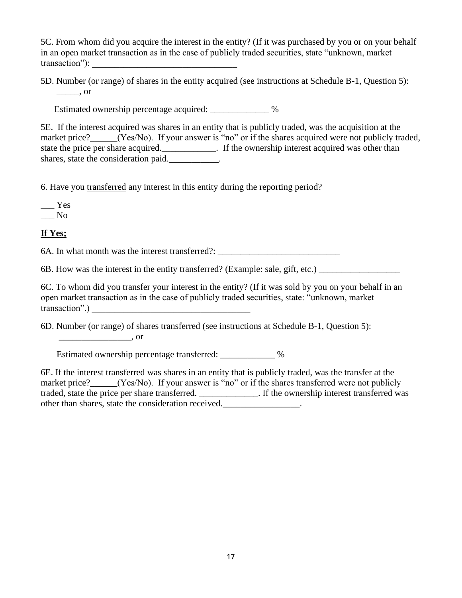5C. From whom did you acquire the interest in the entity? (If it was purchased by you or on your behalf in an open market transaction as in the case of publicly traded securities, state "unknown, market transaction"):

5D. Number (or range) of shares in the entity acquired (see instructions at Schedule B-1, Question 5): \_\_\_\_\_, or

Estimated ownership percentage acquired: \_\_\_\_\_\_\_\_\_\_\_\_ %

5E. If the interest acquired was shares in an entity that is publicly traded, was the acquisition at the market price? (Yes/No). If your answer is "no" or if the shares acquired were not publicly traded, state the price per share acquired.\_\_\_\_\_\_\_\_\_\_\_\_. If the ownership interest acquired was other than shares, state the consideration paid.

6. Have you transferred any interest in this entity during the reporting period?

\_\_\_ Yes  $\_\_$  No

# **If Yes;**

6A. In what month was the interest transferred?:

6B. How was the interest in the entity transferred? (Example: sale, gift, etc.) \_\_\_\_\_\_\_\_\_\_\_\_\_\_\_\_\_\_

6C. To whom did you transfer your interest in the entity? (If it was sold by you on your behalf in an open market transaction as in the case of publicly traded securities, state: "unknown, market transaction".) \_\_\_\_\_\_\_\_\_\_\_\_\_\_\_\_\_\_\_\_\_\_\_\_\_\_\_\_\_\_\_\_\_\_\_

6D. Number (or range) of shares transferred (see instructions at Schedule B-1, Question 5): \_\_\_\_\_\_\_\_\_\_\_\_\_\_\_\_, or

Estimated ownership percentage transferred:  $\%$ 

6E. If the interest transferred was shares in an entity that is publicly traded, was the transfer at the market price?\_\_\_\_\_\_(Yes/No). If your answer is "no" or if the shares transferred were not publicly traded, state the price per share transferred. \_\_\_\_\_\_\_\_\_\_\_\_\_. If the ownership interest transferred was other than shares, state the consideration received.\_\_\_\_\_\_\_\_\_\_\_\_\_\_\_\_\_\_.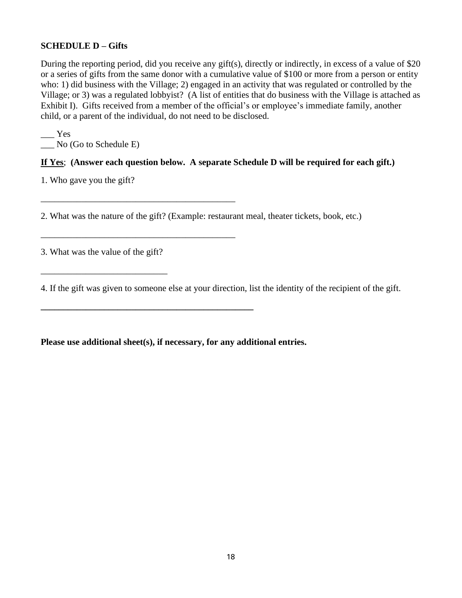#### **SCHEDULE D – Gifts**

During the reporting period, did you receive any gift(s), directly or indirectly, in excess of a value of \$20 or a series of gifts from the same donor with a cumulative value of \$100 or more from a person or entity who: 1) did business with the Village; 2) engaged in an activity that was regulated or controlled by the Village; or 3) was a regulated lobbyist? (A list of entities that do business with the Village is attached as Exhibit I). Gifts received from a member of the official's or employee's immediate family, another child, or a parent of the individual, do not need to be disclosed.

 $\_\_\$ \_\_\_ No (Go to Schedule E)

# **If Yes**; **(Answer each question below. A separate Schedule D will be required for each gift.)**

1. Who gave you the gift?

2. What was the nature of the gift? (Example: restaurant meal, theater tickets, book, etc.)

3. What was the value of the gift?

\_\_\_\_\_\_\_\_\_\_\_\_\_\_\_\_\_\_\_\_\_\_\_\_\_\_\_\_

\_\_\_\_\_\_\_\_\_\_\_\_\_\_\_\_\_\_\_\_\_\_\_\_\_\_\_\_\_\_\_\_\_\_\_\_\_\_\_\_\_\_\_

\_\_\_\_\_\_\_\_\_\_\_\_\_\_\_\_\_\_\_\_\_\_\_\_\_\_\_\_\_\_\_\_\_\_\_\_\_\_\_\_\_\_\_

**\_\_\_\_\_\_\_\_\_\_\_\_\_\_\_\_\_\_\_\_\_\_\_\_\_\_\_\_\_\_\_\_\_\_\_\_\_\_\_\_\_\_\_\_\_\_\_**

4. If the gift was given to someone else at your direction, list the identity of the recipient of the gift.

**Please use additional sheet(s), if necessary, for any additional entries.**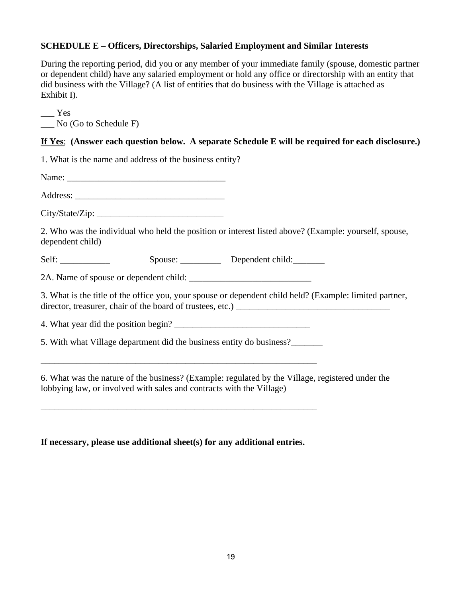# **SCHEDULE E – Officers, Directorships, Salaried Employment and Similar Interests**

During the reporting period, did you or any member of your immediate family (spouse, domestic partner or dependent child) have any salaried employment or hold any office or directorship with an entity that did business with the Village? (A list of entities that do business with the Village is attached as Exhibit I).

 $\_\_$  Yes \_\_\_ No (Go to Schedule F)

# **If Yes**; **(Answer each question below. A separate Schedule E will be required for each disclosure.)**

| 1. What is the name and address of the business entity?              |                                                                                                         |
|----------------------------------------------------------------------|---------------------------------------------------------------------------------------------------------|
|                                                                      |                                                                                                         |
|                                                                      |                                                                                                         |
| City/State/Zip:                                                      |                                                                                                         |
| dependent child)                                                     | 2. Who was the individual who held the position or interest listed above? (Example: yourself, spouse,   |
|                                                                      | Spouse: Dependent child:                                                                                |
|                                                                      |                                                                                                         |
|                                                                      | 3. What is the title of the office you, your spouse or dependent child held? (Example: limited partner, |
| 4. What year did the position begin?                                 |                                                                                                         |
| 5. With what Village department did the business entity do business? |                                                                                                         |
| lobbying law, or involved with sales and contracts with the Village) | 6. What was the nature of the business? (Example: regulated by the Village, registered under the        |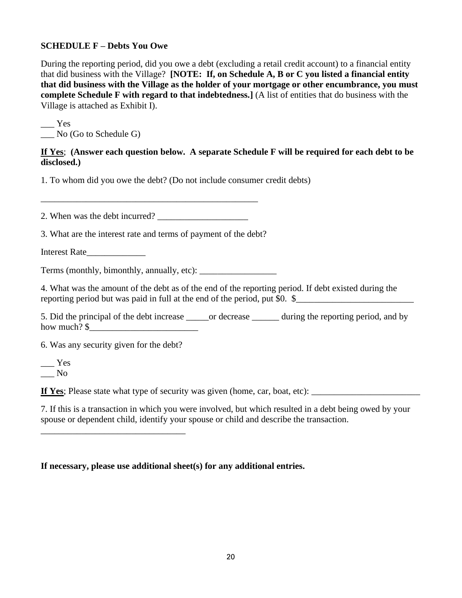#### **SCHEDULE F – Debts You Owe**

During the reporting period, did you owe a debt (excluding a retail credit account) to a financial entity that did business with the Village? **[NOTE: If, on Schedule A, B or C you listed a financial entity that did business with the Village as the holder of your mortgage or other encumbrance, you must complete Schedule F with regard to that indebtedness.]** (A list of entities that do business with the Village is attached as Exhibit I).

\_\_\_ Yes \_\_\_ No (Go to Schedule G)

# **If Yes**; **(Answer each question below. A separate Schedule F will be required for each debt to be disclosed.)**

1. To whom did you owe the debt? (Do not include consumer credit debts)

2. When was the debt incurred?

\_\_\_\_\_\_\_\_\_\_\_\_\_\_\_\_\_\_\_\_\_\_\_\_\_\_\_\_\_\_\_\_\_\_\_\_\_\_\_\_\_\_\_\_\_\_\_\_

3. What are the interest rate and terms of payment of the debt?

Interest Rate\_\_\_\_\_\_\_\_\_\_\_\_\_

Terms (monthly, bimonthly, annually, etc):

4. What was the amount of the debt as of the end of the reporting period. If debt existed during the reporting period but was paid in full at the end of the period, put \$0.  $\frac{1}{2}$ 

5. Did the principal of the debt increase \_\_\_\_\_or decrease \_\_\_\_\_\_ during the reporting period, and by how much? \$

6. Was any security given for the debt?

\_\_\_\_\_\_\_\_\_\_\_\_\_\_\_\_\_\_\_\_\_\_\_\_\_\_\_\_\_\_\_\_

\_\_\_ Yes \_\_\_ No

**If Yes**; Please state what type of security was given (home, car, boat, etc):

7. If this is a transaction in which you were involved, but which resulted in a debt being owed by your spouse or dependent child, identify your spouse or child and describe the transaction.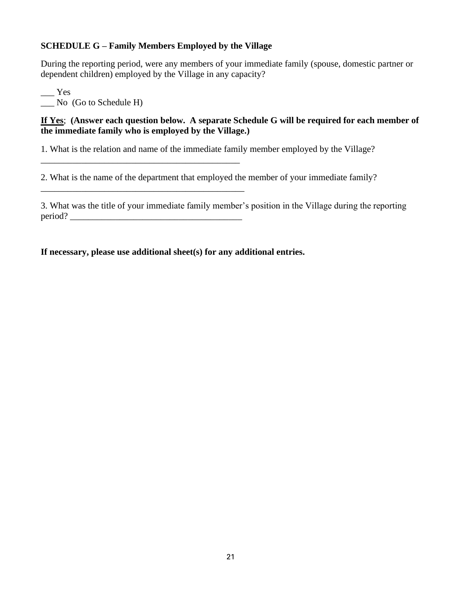# **SCHEDULE G – Family Members Employed by the Village**

\_\_\_\_\_\_\_\_\_\_\_\_\_\_\_\_\_\_\_\_\_\_\_\_\_\_\_\_\_\_\_\_\_\_\_\_\_\_\_\_\_\_\_\_

\_\_\_\_\_\_\_\_\_\_\_\_\_\_\_\_\_\_\_\_\_\_\_\_\_\_\_\_\_\_\_\_\_\_\_\_\_\_\_\_\_\_\_\_\_

During the reporting period, were any members of your immediate family (spouse, domestic partner or dependent children) employed by the Village in any capacity?

 $\equiv$  Yes \_\_\_ No (Go to Schedule H)

**If Yes**; **(Answer each question below. A separate Schedule G will be required for each member of the immediate family who is employed by the Village.)**

1. What is the relation and name of the immediate family member employed by the Village?

2. What is the name of the department that employed the member of your immediate family?

3. What was the title of your immediate family member's position in the Village during the reporting period?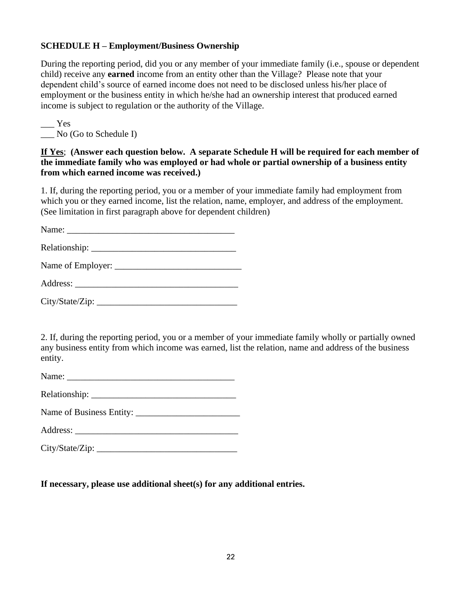# **SCHEDULE H – Employment/Business Ownership**

During the reporting period, did you or any member of your immediate family (i.e., spouse or dependent child) receive any **earned** income from an entity other than the Village? Please note that your dependent child's source of earned income does not need to be disclosed unless his/her place of employment or the business entity in which he/she had an ownership interest that produced earned income is subject to regulation or the authority of the Village.

 $\_\_\_\$  Yes \_\_\_ No (Go to Schedule I)

**If Yes**; **(Answer each question below. A separate Schedule H will be required for each member of the immediate family who was employed or had whole or partial ownership of a business entity from which earned income was received.)**

1. If, during the reporting period, you or a member of your immediate family had employment from which you or they earned income, list the relation, name, employer, and address of the employment. (See limitation in first paragraph above for dependent children)

Name:

Relationship: \_\_\_\_\_\_\_\_\_\_\_\_\_\_\_\_\_\_\_\_\_\_\_\_\_\_\_\_\_\_\_\_

Name of Employer: \_\_\_\_\_\_\_\_\_\_\_\_\_\_\_\_\_\_\_\_\_\_\_\_\_\_\_\_

Address: \_\_\_\_\_\_\_\_\_\_\_\_\_\_\_\_\_\_\_\_\_\_\_\_\_\_\_\_\_\_\_\_\_\_\_\_

City/State/Zip: \_\_\_\_\_\_\_\_\_\_\_\_\_\_\_\_\_\_\_\_\_\_\_\_\_\_\_\_\_\_\_

2. If, during the reporting period, you or a member of your immediate family wholly or partially owned any business entity from which income was earned, list the relation, name and address of the business entity.

Name: \_\_\_\_\_\_\_\_\_\_\_\_\_\_\_\_\_\_\_\_\_\_\_\_\_\_\_\_\_\_\_\_\_\_\_\_\_

Relationship:

Name of Business Entity:

Address: \_\_\_\_\_\_\_\_\_\_\_\_\_\_\_\_\_\_\_\_\_\_\_\_\_\_\_\_\_\_\_\_\_\_\_\_

 $City/State/Zip$ :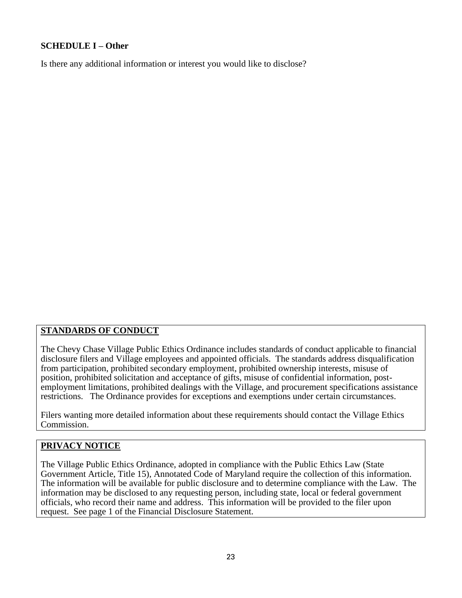# **SCHEDULE I – Other**

Is there any additional information or interest you would like to disclose?

# **STANDARDS OF CONDUCT**

The Chevy Chase Village Public Ethics Ordinance includes standards of conduct applicable to financial disclosure filers and Village employees and appointed officials. The standards address disqualification from participation, prohibited secondary employment, prohibited ownership interests, misuse of position, prohibited solicitation and acceptance of gifts, misuse of confidential information, postemployment limitations, prohibited dealings with the Village, and procurement specifications assistance restrictions. The Ordinance provides for exceptions and exemptions under certain circumstances.

Filers wanting more detailed information about these requirements should contact the Village Ethics Commission.

# **PRIVACY NOTICE**

The Village Public Ethics Ordinance, adopted in compliance with the Public Ethics Law (State Government Article, Title 15), Annotated Code of Maryland require the collection of this information. The information will be available for public disclosure and to determine compliance with the Law. The information may be disclosed to any requesting person, including state, local or federal government officials, who record their name and address. This information will be provided to the filer upon request. See page 1 of the Financial Disclosure Statement.